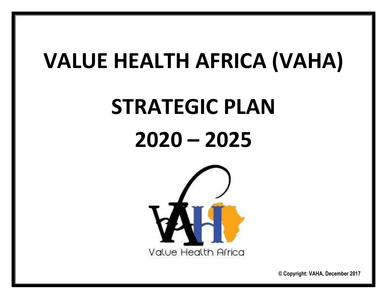## **VALUE HEALTH AFRICA (VAHA)**

# **STRATEGIC PLAN**

## **2020 – 2025**



**© Copyright: VAHA, December 2017**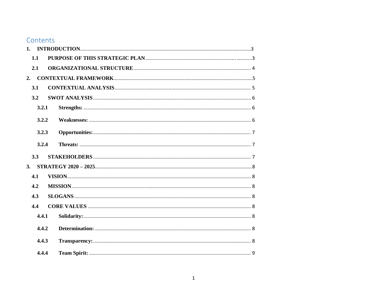### Contents

| 1 <sub>1</sub> |       |  |
|----------------|-------|--|
| 1.1            |       |  |
| 2.1            |       |  |
| 2.             |       |  |
| 3.1            |       |  |
| 3.2            |       |  |
|                | 3.2.1 |  |
|                | 3.2.2 |  |
|                | 3.2.3 |  |
|                | 3.2.4 |  |
| 3.3            |       |  |
| 3.             |       |  |
| 4.1            |       |  |
| 4.2            |       |  |
| 4.3            |       |  |
| 4.4            |       |  |
|                | 4.4.1 |  |
|                | 4.4.2 |  |
|                | 4.4.3 |  |
|                | 4.4.4 |  |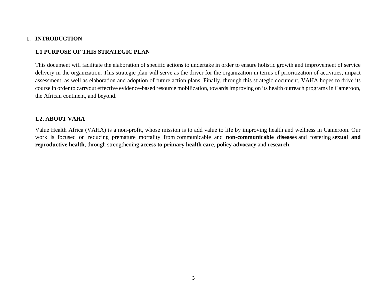#### <span id="page-3-0"></span>**1. INTRODUCTION**

#### <span id="page-3-1"></span>**1.1 PURPOSE OF THIS STRATEGIC PLAN**

This document will facilitate the elaboration of specific actions to undertake in order to ensure holistic growth and improvement of service delivery in the organization. This strategic plan will serve as the driver for the organization in terms of prioritization of activities, impact assessment, as well as elaboration and adoption of future action plans. Finally, through this strategic document, VAHA hopes to drive its course in order to carryout effective evidence-based resource mobilization, towards improving on its health outreach programs in Cameroon, the African continent, and beyond.

#### **1.2. ABOUT VAHA**

Value Health Africa (VAHA) is a non-profit, whose mission is to add value to life by improving health and wellness in Cameroon. Our work is focused on reducing premature mortality from communicable and **non-communicable diseases** and fostering **sexual and reproductive health**, through strengthening **access to primary health care**, **policy advocacy** and **research**.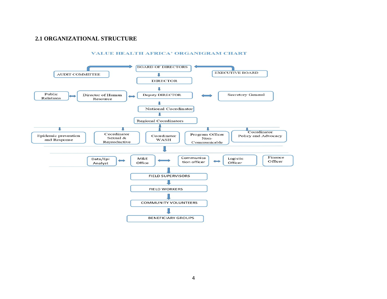#### <span id="page-4-0"></span>**2.1 ORGANIZATIONAL STRUCTURE**



#### **VALUE HEALTH AFRICA' ORGANIGRAM CHART**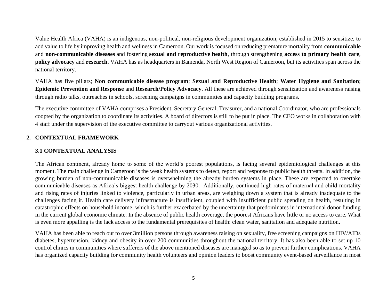Value Health Africa (VAHA) is an indigenous, non-political, non-religious development organization, established in 2015 to sensitize, to add value to life by improving health and wellness in Cameroon. Our work is focused on reducing premature mortality from **communicable** and **non-communicable diseases** and fostering **sexual and reproductive health**, through strengthening **access to primary health care**, **policy advocacy** and **research.** VAHA has as headquarters in Bamenda, North West Region of Cameroon, but its activities span across the national territory.

VAHA has five pillars; **Non communicable disease program**; **Sexual and Reproductive Health**; **Water Hygiene and Sanitation**; **Epidemic Prevention and Response** and **Research/Policy Advocacy**. All these are achieved through sensitization and awareness raising through radio talks, outreaches in schools, screening campaigns in communities and capacity building programs.

The executive committee of VAHA comprises a President, Secretary General, Treasurer, and a national Coordinator, who are professionals coopted by the organization to coordinate its activities. A board of directors is still to be put in place. The CEO works in collaboration with 4 staff under the supervision of the executive committee to carryout various organizational activities.

#### <span id="page-5-0"></span>**2. CONTEXTUAL FRAMEWORK**

#### <span id="page-5-1"></span>**3.1 CONTEXTUAL ANALYSIS**

The African continent, already home to some of the world's poorest populations, is facing several epidemiological challenges at this moment. The main challenge in Cameroon is the weak health systems to detect, report and response to public health threats. In addition, the growing burden of non-communicable diseases is overwhelming the already burden systems in place. These are expected to overtake communicable diseases as Africa's biggest health challenge by 2030. Additionally, continued high rates of maternal and child mortality and rising rates of injuries linked to violence, particularly in urban areas, are weighing down a system that is already inadequate to the challenges facing it. Health care delivery infrastructure is insufficient, coupled with insufficient public spending on health, resulting in catastrophic effects on household income, which is further exacerbated by the uncertainty that predominates in international donor funding in the current global economic climate. In the absence of public health coverage, the poorest Africans have little or no access to care. What is even more appalling is the lack access to the fundamental prerequisites of health: clean water, sanitation and adequate nutrition.

VAHA has been able to reach out to over 3million persons through awareness raising on sexuality, free screening campaigns on HIV/AIDs diabetes, hypertension, kidney and obesity in over 200 communities throughout the national territory. It has also been able to set up 10 control clinics in communities where sufferers of the above mentioned diseases are managed so as to prevent further complications. VAHA has organized capacity building for community health volunteers and opinion leaders to boost community event-based surveillance in most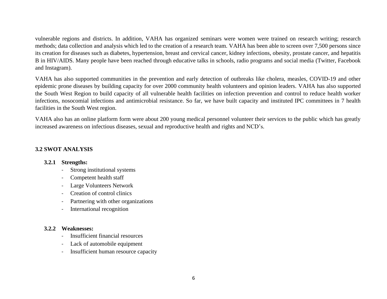vulnerable regions and districts. In addition, VAHA has organized seminars were women were trained on research writing; research methods; data collection and analysis which led to the creation of a research team. VAHA has been able to screen over 7,500 persons since its creation for diseases such as diabetes, hypertension, breast and cervical cancer, kidney infections, obesity, prostate cancer, and hepatitis B in HIV/AIDS. Many people have been reached through educative talks in schools, radio programs and social media (Twitter, Facebook and Instagram).

VAHA has also supported communities in the prevention and early detection of outbreaks like cholera, measles, COVID-19 and other epidemic prone diseases by building capacity for over 2000 community health volunteers and opinion leaders. VAHA has also supported the South West Region to build capacity of all vulnerable health facilities on infection prevention and control to reduce health worker infections, nosocomial infections and antimicrobial resistance. So far, we have built capacity and instituted IPC committees in 7 health facilities in the South West region.

VAHA also has an online platform form were about 200 young medical personnel volunteer their services to the public which has greatly increased awareness on infectious diseases, sexual and reproductive health and rights and NCD's.

#### <span id="page-6-1"></span><span id="page-6-0"></span>**3.2 SWOT ANALYSIS**

#### **3.2.1 Strengths:**

- Strong institutional systems
- Competent health staff
- Large Volunteers Network
- Creation of control clinics
- Partnering with other organizations
- International recognition

#### <span id="page-6-2"></span>**3.2.2 Weaknesses:**

- Insufficient financial resources
- Lack of automobile equipment
- Insufficient human resource capacity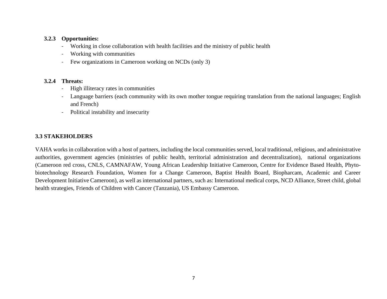#### <span id="page-7-0"></span>**3.2.3 Opportunities:**

- Working in close collaboration with health facilities and the ministry of public health
- Working with communities
- Few organizations in Cameroon working on NCDs (only 3)

#### <span id="page-7-1"></span>**3.2.4 Threats:**

- High illiteracy rates in communities
- Language barriers (each community with its own mother tongue requiring translation from the national languages; English and French)
- Political instability and insecurity

#### <span id="page-7-2"></span>**3.3 STAKEHOLDERS**

VAHA works in collaboration with a host of partners, including the local communities served, local traditional, religious, and administrative authorities, government agencies (ministries of public health, territorial administration and decentralization), national organizations (Cameroon red cross, CNLS, CAMNAFAW, Young African Leadership Initiative Cameroon, Centre for Evidence Based Health, Phytobiotechnology Research Foundation, Women for a Change Cameroon, Baptist Health Board, Biopharcam, Academic and Career Development Initiative Cameroon), as well as international partners, such as: International medical corps, NCD Alliance, Street child, global health strategies, Friends of Children with Cancer (Tanzania), US Embassy Cameroon.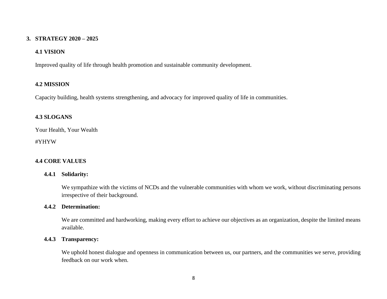#### <span id="page-8-0"></span>**3. STRATEGY 2020 – 2025**

#### <span id="page-8-1"></span>**4.1 VISION**

Improved quality of life through health promotion and sustainable community development.

#### <span id="page-8-2"></span>**4.2 MISSION**

Capacity building, health systems strengthening, and advocacy for improved quality of life in communities.

#### <span id="page-8-3"></span>**4.3 SLOGANS**

Your Health, Your Wealth

#YHYW

#### <span id="page-8-5"></span><span id="page-8-4"></span>**4.4 CORE VALUES**

#### **4.4.1 Solidarity:**

We sympathize with the victims of NCDs and the vulnerable communities with whom we work, without discriminating persons irrespective of their background.

#### <span id="page-8-6"></span>**4.4.2 Determination:**

We are committed and hardworking, making every effort to achieve our objectives as an organization, despite the limited means available.

#### <span id="page-8-7"></span>**4.4.3 Transparency:**

We uphold honest dialogue and openness in communication between us, our partners, and the communities we serve, providing feedback on our work when.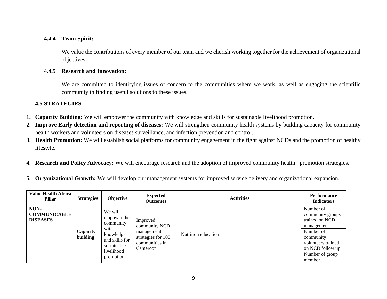#### <span id="page-9-0"></span>**4.4.4 Team Spirit:**

We value the contributions of every member of our team and we cherish working together for the achievement of organizational objectives.

#### <span id="page-9-1"></span>**4.4.5 Research and Innovation:**

We are committed to identifying issues of concern to the communities where we work, as well as engaging the scientific community in finding useful solutions to these issues.

#### <span id="page-9-2"></span>**4.5 STRATEGIES**

- **1. Capacity Building:** We will empower the community with knowledge and skills for sustainable livelihood promotion.
- **2. Improve Early detection and reporting of diseases:** We will strengthen community health systems by building capacity for community health workers and volunteers on diseases surveillance, and infection prevention and control.
- **3. Health Promotion:** We will establish social platforms for community engagement in the fight against NCDs and the promotion of healthy lifestyle.
- **4. Research and Policy Advocacy:** We will encourage research and the adoption of improved community health promotion strategies.
- **5. Organizational Growth:** We will develop our management systems for improved service delivery and organizational expansion.

| <b>Value Health Africa</b><br>Pillar           | <b>Strategies</b>    | Objective                                                                                                             | <b>Expected</b><br><b>Outcomes</b>                                                          | <b>Activities</b>   | <b>Performance</b><br><b>Indicators</b>                                                                                                                        |
|------------------------------------------------|----------------------|-----------------------------------------------------------------------------------------------------------------------|---------------------------------------------------------------------------------------------|---------------------|----------------------------------------------------------------------------------------------------------------------------------------------------------------|
| NON-<br><b>COMMUNICABLE</b><br><b>DISEASES</b> | Capacity<br>building | We will<br>empower the<br>community<br>with<br>knowledge<br>and skills for<br>sustainable<br>livelihood<br>promotion. | Improved<br>community NCD<br>management<br>strategies for 100<br>communities in<br>Cameroon | Nutrition education | Number of<br>community groups<br>trained on NCD<br>management<br>Number of<br>community<br>volunteers trained<br>on NCD follow up<br>Number of group<br>member |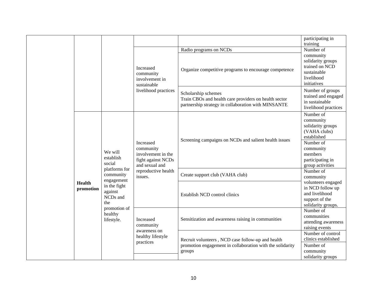|  |                            |                                                                                                                                                                               |                                                                                                                        |                                                                                                                                     | participating in<br>training                                                                                                                                                      |
|--|----------------------------|-------------------------------------------------------------------------------------------------------------------------------------------------------------------------------|------------------------------------------------------------------------------------------------------------------------|-------------------------------------------------------------------------------------------------------------------------------------|-----------------------------------------------------------------------------------------------------------------------------------------------------------------------------------|
|  |                            |                                                                                                                                                                               |                                                                                                                        | Radio programs on NCDs                                                                                                              | Number of                                                                                                                                                                         |
|  |                            |                                                                                                                                                                               | Increased<br>community<br>involvement in<br>sustainable<br>livelihood practices                                        | Organize competitive programs to encourage competence                                                                               | community<br>solidarity groups<br>trained on NCD<br>sustainable<br>livelihood<br>initiatives                                                                                      |
|  |                            |                                                                                                                                                                               |                                                                                                                        | Scholarship schemes<br>Train CBOs and health care providers on health sector<br>partnership strategy in collaboration with MINSANTE | Number of groups<br>trained and engaged<br>in sustainable<br>livelihood practices                                                                                                 |
|  | <b>Health</b><br>promotion | We will<br>establish<br>social<br>platforms for<br>community<br>engagement<br>in the fight<br>against<br>NCD <sub>s</sub> and<br>the<br>promotion of<br>healthy<br>lifestyle. | Increased<br>community<br>involvement in the<br>fight against NCDs<br>and sexual and<br>reproductive health<br>issues. | Screening campaigns on NCDs and salient health issues<br>Create support club (VAHA club)                                            | Number of<br>community<br>solidarity groups<br>(VAHA clubs)<br>established<br>Number of<br>community<br>members<br>participating in<br>group activities<br>Number of<br>community |
|  |                            |                                                                                                                                                                               |                                                                                                                        | Establish NCD control clinics                                                                                                       | volunteers engaged<br>in NCD follow up<br>and livelihood<br>support of the<br>solidarity groups.                                                                                  |
|  |                            |                                                                                                                                                                               | Increased<br>community<br>awareness on<br>healthy lifestyle<br>practices                                               | Sensitization and awareness raising in communities                                                                                  | Number of<br>communities<br>attending awareness<br>raising events                                                                                                                 |
|  |                            |                                                                                                                                                                               |                                                                                                                        | Recruit volunteers, NCD case follow-up and health<br>promotion engagement in collaboration with the solidarity<br>groups            | Number of control<br>clinics established<br>Number of<br>community<br>solidarity groups                                                                                           |
|  |                            |                                                                                                                                                                               |                                                                                                                        |                                                                                                                                     |                                                                                                                                                                                   |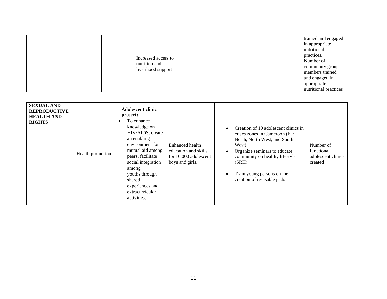|  |  | Increased access to<br>nutrition and<br>livelihood support |  | trained and engaged<br>in appropriate<br>nutritional<br>practices.<br>Number of<br>community group<br>members trained<br>and engaged in<br>appropriate<br>nutritional practices |
|--|--|------------------------------------------------------------|--|---------------------------------------------------------------------------------------------------------------------------------------------------------------------------------|
|--|--|------------------------------------------------------------|--|---------------------------------------------------------------------------------------------------------------------------------------------------------------------------------|

| <b>SEXUAL AND</b><br><b>REPRODUCTIVE</b><br><b>HEALTH AND</b><br><b>RIGHTS</b> | <b>Adolescent clinic</b><br>project:<br>To enhance<br>knowledge on<br>HIV/AIDS, create<br>an enabling<br>environment for<br>mutual aid among<br>Health promotion<br>peers, facilitate<br>social integration<br>among<br>youths through<br>shared<br>experiences and<br>extracurricular<br>activities. | Enhanced health<br>education and skills<br>for 10,000 adolescent<br>boys and girls. | $\bullet$<br>$\bullet$<br>٠ | Creation of 10 adolescent clinics in<br>crises zones in Cameroon (Far<br>North, North West, and South<br>West)<br>Organize seminars to educate<br>community on healthy lifestyle<br>(SRH)<br>Train young persons on the<br>creation of re-usable pads | Number of<br>functional<br>adolescent clinics<br>created |
|--------------------------------------------------------------------------------|-------------------------------------------------------------------------------------------------------------------------------------------------------------------------------------------------------------------------------------------------------------------------------------------------------|-------------------------------------------------------------------------------------|-----------------------------|-------------------------------------------------------------------------------------------------------------------------------------------------------------------------------------------------------------------------------------------------------|----------------------------------------------------------|
|--------------------------------------------------------------------------------|-------------------------------------------------------------------------------------------------------------------------------------------------------------------------------------------------------------------------------------------------------------------------------------------------------|-------------------------------------------------------------------------------------|-----------------------------|-------------------------------------------------------------------------------------------------------------------------------------------------------------------------------------------------------------------------------------------------------|----------------------------------------------------------|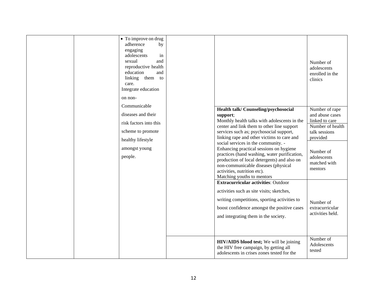| • To improve on drug<br>adherence<br>by<br>engaging<br>adolescents<br>in<br>sexual<br>and<br>reproductive health<br>education<br>and<br>linking them to<br>care.<br>Integrate education<br>on non-<br>Communicable<br>diseases and their<br>risk factors into this<br>scheme to promote<br>healthy lifestyle<br>amongst young<br>people. | Health talk/ Counseling/psychosocial<br>support;<br>Monthly health talks with adolescents in the<br>center and link them to other line support<br>services such as; psychosocial support,<br>linking rape and other victims to care and<br>social services in the community. -<br>Enhancing practical sessions on hygiene<br>practices (hand washing, water purification,<br>production of local detergents) and also on<br>non-communicable diseases (physical<br>activities, nutrition etc).<br>Matching youths to mentors | Number of<br>adolescents<br>enrolled in the<br>clinics<br>Number of rape<br>and abuse cases<br>linked to care<br>Number of health<br>talk sessions<br>provided<br>Number of<br>adolescents<br>matched with<br>mentors |
|------------------------------------------------------------------------------------------------------------------------------------------------------------------------------------------------------------------------------------------------------------------------------------------------------------------------------------------|------------------------------------------------------------------------------------------------------------------------------------------------------------------------------------------------------------------------------------------------------------------------------------------------------------------------------------------------------------------------------------------------------------------------------------------------------------------------------------------------------------------------------|-----------------------------------------------------------------------------------------------------------------------------------------------------------------------------------------------------------------------|
|                                                                                                                                                                                                                                                                                                                                          | <b>Extracurricular activities: Outdoor</b><br>activities such as site visits; sketches,<br>writing competitions, sporting activities to<br>boost confidence amongst the positive cases<br>and integrating them in the society.                                                                                                                                                                                                                                                                                               | Number of<br>extracurricular<br>activities held.                                                                                                                                                                      |
|                                                                                                                                                                                                                                                                                                                                          | HIV/AIDS blood test; We will be joining<br>the HIV free campaign, by getting all<br>adolescents in crises zones tested for the                                                                                                                                                                                                                                                                                                                                                                                               | Number of<br>Adolescents<br>tested                                                                                                                                                                                    |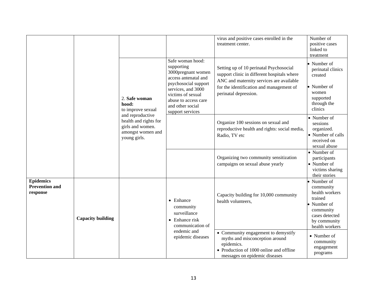|                                                       |                          |                                                                                                    | Safe woman hood:<br>supporting                                                                                                                                                | virus and positive cases enrolled in the<br>treatment center.<br>Setting up of 10 perinatal Psychosocial                                                        | Number of<br>positive cases<br>linked to<br>treatment<br>• Number of<br>perinatal clinics                                             |
|-------------------------------------------------------|--------------------------|----------------------------------------------------------------------------------------------------|-------------------------------------------------------------------------------------------------------------------------------------------------------------------------------|-----------------------------------------------------------------------------------------------------------------------------------------------------------------|---------------------------------------------------------------------------------------------------------------------------------------|
|                                                       |                          | 2. Safe woman<br>hood:<br>to improve sexual                                                        | 3000pregnant women<br>access antenatal and<br>psychosocial support<br>services, and 3000<br>victims of sexual<br>abuse to access care<br>and other social<br>support services | support clinic in different hospitals where<br>ANC and maternity services are available<br>for the identification and management of<br>perinatal depression.    | created<br>• Number of<br>women<br>supported<br>through the<br>clinics                                                                |
|                                                       |                          | and reproductive<br>health and rights for<br>girls and women.<br>amongst women and<br>young girls. |                                                                                                                                                                               | Organize 100 sessions on sexual and<br>reproductive health and rights: social media,<br>Radio, TV etc                                                           | • Number of<br>sessions<br>organized.<br>• Number of calls<br>received on<br>sexual abuse                                             |
|                                                       |                          |                                                                                                    |                                                                                                                                                                               | Organizing two community sensitization<br>campaigns on sexual abuse yearly                                                                                      | • Number of<br>participants<br>• Number of<br>victims sharing<br>their stories                                                        |
| <b>Epidemics</b><br><b>Prevention and</b><br>response | <b>Capacity building</b> |                                                                                                    | $\bullet$ Enhance<br>community<br>surveillance<br>$\bullet$ Enhance risk<br>communication of                                                                                  | Capacity building for 10,000 community<br>health volunteers,                                                                                                    | • Number of<br>community<br>health workers<br>trained<br>• Number of<br>community<br>cases detected<br>by community<br>health workers |
|                                                       |                          |                                                                                                    | endemic and<br>epidemic diseases                                                                                                                                              | • Community engagement to demystify<br>myths and misconception around<br>epidemics.<br>• Production of 1000 online and offline<br>messages on epidemic diseases | • Number of<br>community<br>engagement<br>programs                                                                                    |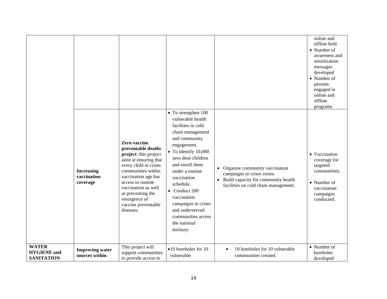|                                                         |                                              |                                                                                                                                                                                                                                                                                  |                                                                                                                                                                                                                                                                                                                                                                            |                                                                                                                                                            | online and<br>offline held<br>• Number of<br>awareness and<br>sensitization<br>messages<br>developed<br>• Number of<br>persons<br>engaged in<br>online and<br>offline<br>programs |
|---------------------------------------------------------|----------------------------------------------|----------------------------------------------------------------------------------------------------------------------------------------------------------------------------------------------------------------------------------------------------------------------------------|----------------------------------------------------------------------------------------------------------------------------------------------------------------------------------------------------------------------------------------------------------------------------------------------------------------------------------------------------------------------------|------------------------------------------------------------------------------------------------------------------------------------------------------------|-----------------------------------------------------------------------------------------------------------------------------------------------------------------------------------|
|                                                         | <b>Increasing</b><br>vaccination<br>coverage | Zero vaccine<br>preventable deaths<br>project: this project<br>aims at ensuring that<br>every child in crises<br>communities within<br>vaccination age has<br>access to routine<br>vaccination as well<br>as preventing the<br>resurgence of<br>vaccine preventable<br>diseases. | • To strengthen 100<br>vulnerable health<br>facilities in cold<br>chain management<br>and community<br>engagement.<br>$\bullet$ To identify 10,000<br>zero dose children<br>and enroll them<br>under a routine<br>vaccination<br>schedule.<br>• Conduct $200$<br>vaccination<br>campaigns in crises<br>and underserved<br>communities across<br>the national<br>territory. | • Organize community vaccination<br>campaigns in crises zones.<br>Build capacity for community health<br>$\bullet$<br>facilities on cold chain management. | • Vaccination<br>coverage for<br>targeted<br>communities.<br>• Number of<br>vaccination<br>campaigns<br>conducted.                                                                |
| <b>WATER</b><br><b>HYGIENE</b> and<br><b>SANITATION</b> | <b>Improving water</b><br>sources within     | This project will<br>support communities<br>to provide access to                                                                                                                                                                                                                 | $\bullet$ 10 boreholes for 10<br>vulnerable                                                                                                                                                                                                                                                                                                                                | 10 boreholes for 10 vulnerable<br>$\bullet$<br>communities created.                                                                                        | • Number of<br>boreholes<br>developed                                                                                                                                             |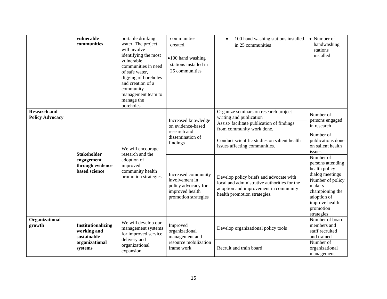|                                               | vulnerable<br>communities                                                     | portable drinking<br>water. The project<br>will involve<br>identifying the most<br>vulnerable<br>communities in need<br>of safe water,<br>digging of boreholes<br>and creation of a<br>community<br>management team to<br>manage the<br>boreholes. | communities<br>created.<br>$\bullet$ 100 hand washing<br>stations installed in<br>25 communities        | 100 hand washing stations installed<br>$\bullet$<br>in 25 communities                                                                                                                                                       | • Number of<br>handwashing<br>stations<br>installed                                                                                                                                        |
|-----------------------------------------------|-------------------------------------------------------------------------------|----------------------------------------------------------------------------------------------------------------------------------------------------------------------------------------------------------------------------------------------------|---------------------------------------------------------------------------------------------------------|-----------------------------------------------------------------------------------------------------------------------------------------------------------------------------------------------------------------------------|--------------------------------------------------------------------------------------------------------------------------------------------------------------------------------------------|
| <b>Research and</b><br><b>Policy Advocacy</b> |                                                                               | We will encourage                                                                                                                                                                                                                                  | Increased knowledge<br>on evidence-based<br>research and<br>dissemination of<br>findings                | Organize seminars on research project<br>writing and publication<br>Assist/facilitate publication of findings<br>from community work done.<br>Conduct scientific studies on salient health<br>issues affecting communities. | Number of<br>persons engaged<br>in research<br>Number of<br>publications done<br>on salient health                                                                                         |
|                                               | <b>Stakeholder</b><br>engagement<br>through evidence<br>based science         | research and the<br>adoption of<br>improved<br>community health<br>promotion strategies                                                                                                                                                            | Increased community<br>involvement in<br>policy advocacy for<br>improved health<br>promotion strategies | Develop policy briefs and advocate with<br>local and administrative authorities for the<br>adoption and improvement in community<br>health promotion strategies.                                                            | issues.<br>Number of<br>persons attending<br>health policy<br>dialog meetings<br>Number of policy<br>makers<br>championing the<br>adoption of<br>improve health<br>promotion<br>strategies |
| Organizational<br>growth                      | Institutionalizing<br>working and<br>sustainable<br>organizational<br>systems | We will develop our<br>management systems<br>for improved service<br>delivery and<br>organizational<br>expansion                                                                                                                                   | Improved<br>organizational<br>management and<br>resource mobilization<br>frame work                     | Develop organizational policy tools<br>Recruit and train board                                                                                                                                                              | Number of board<br>members and<br>staff recruited<br>and trained<br>Number of<br>organizational<br>management                                                                              |